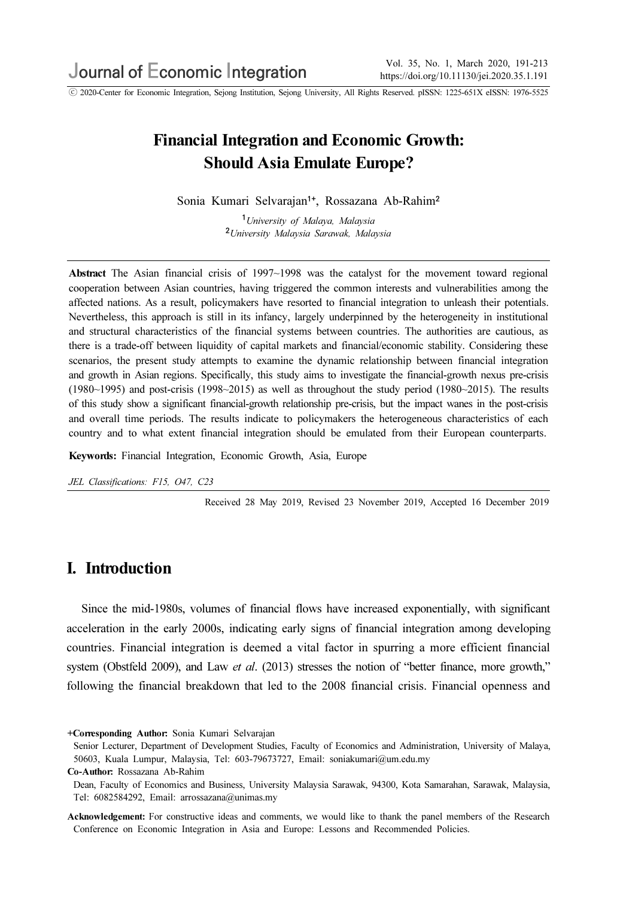ⓒ 2020-Center for Economic Integration, Sejong Institution, Sejong University, All Rights Reserved. pISSN: 1225-651X eISSN: 1976-5525

# Financial Integration and Economic Growth: Should Asia Emulate Europe?

Sonia Kumari Selvarajan<sup>1+</sup>, Rossazana Ab-Rahim<sup>2</sup>

<sup>1</sup>University of Malaya, Malaysia <sup>2</sup>University Malaysia Sarawak, Malaysia

Abstract The Asian financial crisis of 1997~1998 was the catalyst for the movement toward regional cooperation between Asian countries, having triggered the common interests and vulnerabilities among the affected nations. As a result, policymakers have resorted to financial integration to unleash their potentials. Nevertheless, this approach is still in its infancy, largely underpinned by the heterogeneity in institutional and structural characteristics of the financial systems between countries. The authorities are cautious, as there is a trade-off between liquidity of capital markets and financial/economic stability. Considering these scenarios, the present study attempts to examine the dynamic relationship between financial integration and growth in Asian regions. Specifically, this study aims to investigate the financial-growth nexus pre-crisis (1980~1995) and post-crisis (1998~2015) as well as throughout the study period (1980~2015). The results of this study show a significant financial-growth relationship pre-crisis, but the impact wanes in the post-crisis and overall time periods. The results indicate to policymakers the heterogeneous characteristics of each country and to what extent financial integration should be emulated from their European counterparts.

Keywords: Financial Integration, Economic Growth, Asia, Europe

JEL Classifications: F15, O47, C23

Received 28 May 2019, Revised 23 November 2019, Accepted 16 December 2019

### I. Introduction

Since the mid-1980s, volumes of financial flows have increased exponentially, with significant acceleration in the early 2000s, indicating early signs of financial integration among developing countries. Financial integration is deemed a vital factor in spurring a more efficient financial system (Obstfeld 2009), and Law et al. (2013) stresses the notion of "better finance, more growth," following the financial breakdown that led to the 2008 financial crisis. Financial openness and

<sup>+</sup>Corresponding Author: Sonia Kumari Selvarajan

Senior Lecturer, Department of Development Studies, Faculty of Economics and Administration, University of Malaya, 50603, Kuala Lumpur, Malaysia, Tel: 603-79673727, Email: soniakumari@um.edu.my

Co-Author: Rossazana Ab-Rahim

Dean, Faculty of Economics and Business, University Malaysia Sarawak, 94300, Kota Samarahan, Sarawak, Malaysia, Tel: 6082584292, Email: arrossazana@unimas.my

Acknowledgement: For constructive ideas and comments, we would like to thank the panel members of the Research Conference on Economic Integration in Asia and Europe: Lessons and Recommended Policies.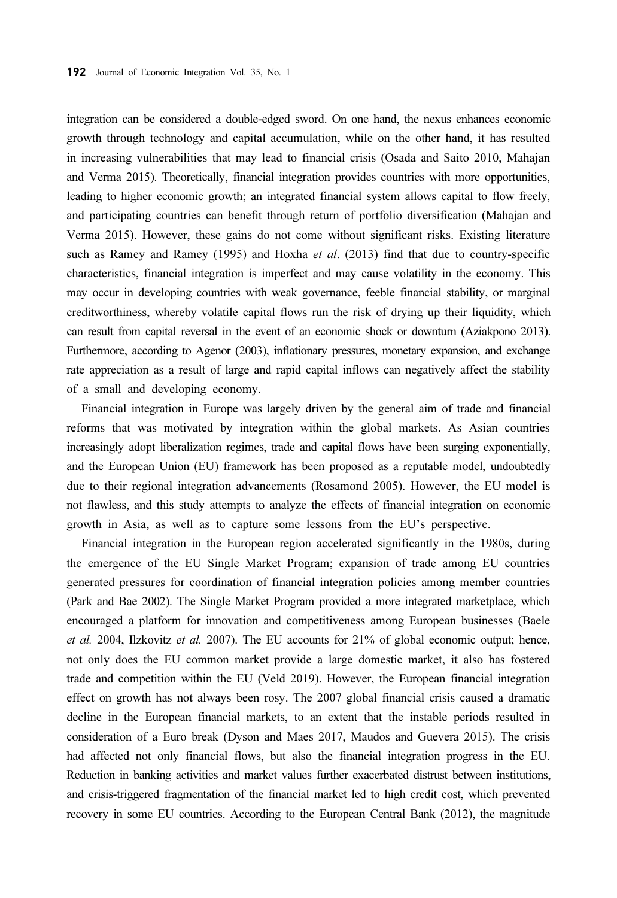integration can be considered a double-edged sword. On one hand, the nexus enhances economic growth through technology and capital accumulation, while on the other hand, it has resulted in increasing vulnerabilities that may lead to financial crisis (Osada and Saito 2010, Mahajan and Verma 2015). Theoretically, financial integration provides countries with more opportunities, leading to higher economic growth; an integrated financial system allows capital to flow freely, and participating countries can benefit through return of portfolio diversification (Mahajan and Verma 2015). However, these gains do not come without significant risks. Existing literature such as Ramey and Ramey (1995) and Hoxha *et al.* (2013) find that due to country-specific characteristics, financial integration is imperfect and may cause volatility in the economy. This may occur in developing countries with weak governance, feeble financial stability, or marginal creditworthiness, whereby volatile capital flows run the risk of drying up their liquidity, which can result from capital reversal in the event of an economic shock or downturn (Aziakpono 2013). Furthermore, according to Agenor (2003), inflationary pressures, monetary expansion, and exchange rate appreciation as a result of large and rapid capital inflows can negatively affect the stability of a small and developing economy.

Financial integration in Europe was largely driven by the general aim of trade and financial reforms that was motivated by integration within the global markets. As Asian countries increasingly adopt liberalization regimes, trade and capital flows have been surging exponentially, and the European Union (EU) framework has been proposed as a reputable model, undoubtedly due to their regional integration advancements (Rosamond 2005). However, the EU model is not flawless, and this study attempts to analyze the effects of financial integration on economic growth in Asia, as well as to capture some lessons from the EU's perspective.

Financial integration in the European region accelerated significantly in the 1980s, during the emergence of the EU Single Market Program; expansion of trade among EU countries generated pressures for coordination of financial integration policies among member countries (Park and Bae 2002). The Single Market Program provided a more integrated marketplace, which encouraged a platform for innovation and competitiveness among European businesses (Baele et al. 2004, Ilzkovitz et al. 2007). The EU accounts for 21% of global economic output; hence, not only does the EU common market provide a large domestic market, it also has fostered trade and competition within the EU (Veld 2019). However, the European financial integration effect on growth has not always been rosy. The 2007 global financial crisis caused a dramatic decline in the European financial markets, to an extent that the instable periods resulted in consideration of a Euro break (Dyson and Maes 2017, Maudos and Guevera 2015). The crisis had affected not only financial flows, but also the financial integration progress in the EU. Reduction in banking activities and market values further exacerbated distrust between institutions, and crisis-triggered fragmentation of the financial market led to high credit cost, which prevented recovery in some EU countries. According to the European Central Bank (2012), the magnitude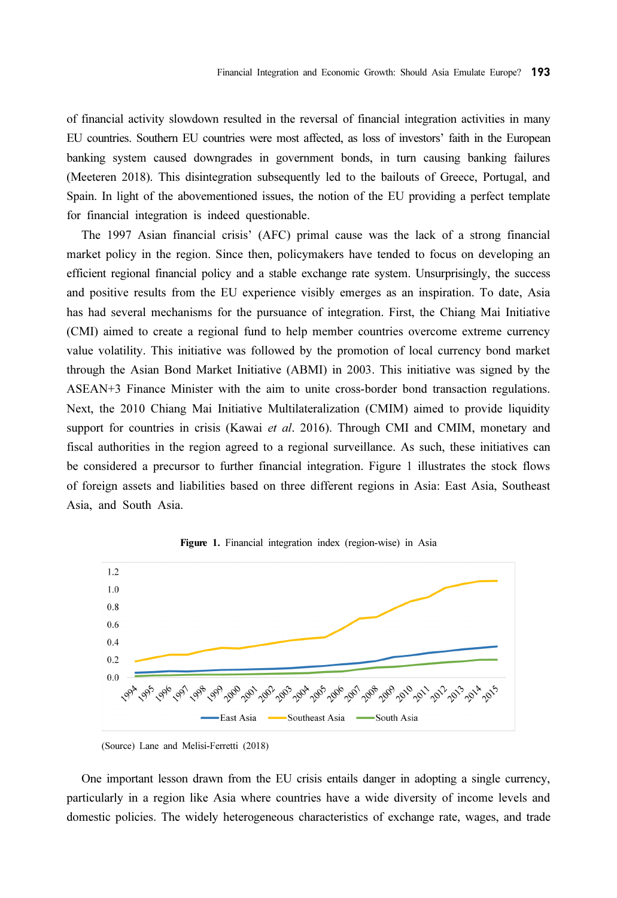of financial activity slowdown resulted in the reversal of financial integration activities in many EU countries. Southern EU countries were most affected, as loss of investors' faith in the European banking system caused downgrades in government bonds, in turn causing banking failures (Meeteren 2018). This disintegration subsequently led to the bailouts of Greece, Portugal, and Spain. In light of the abovementioned issues, the notion of the EU providing a perfect template for financial integration is indeed questionable.

The 1997 Asian financial crisis' (AFC) primal cause was the lack of a strong financial market policy in the region. Since then, policymakers have tended to focus on developing an efficient regional financial policy and a stable exchange rate system. Unsurprisingly, the success and positive results from the EU experience visibly emerges as an inspiration. To date, Asia has had several mechanisms for the pursuance of integration. First, the Chiang Mai Initiative (CMI) aimed to create a regional fund to help member countries overcome extreme currency value volatility. This initiative was followed by the promotion of local currency bond market through the Asian Bond Market Initiative (ABMI) in 2003. This initiative was signed by the ASEAN+3 Finance Minister with the aim to unite cross-border bond transaction regulations. Next, the 2010 Chiang Mai Initiative Multilateralization (CMIM) aimed to provide liquidity support for countries in crisis (Kawai *et al.* 2016). Through CMI and CMIM, monetary and fiscal authorities in the region agreed to a regional surveillance. As such, these initiatives can be considered a precursor to further financial integration. Figure 1 illustrates the stock flows of foreign assets and liabilities based on three different regions in Asia: East Asia, Southeast Asia, and South Asia.



Figure 1. Financial integration index (region-wise) in Asia

One important lesson drawn from the EU crisis entails danger in adopting a single currency, particularly in a region like Asia where countries have a wide diversity of income levels and domestic policies. The widely heterogeneous characteristics of exchange rate, wages, and trade

<sup>(</sup>Source) Lane and Melisi-Ferretti (2018)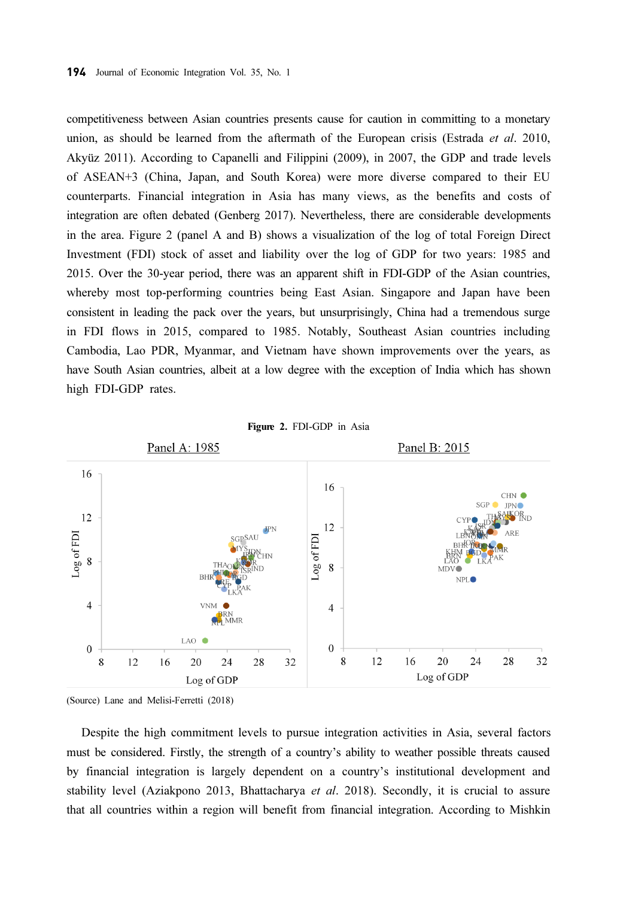competitiveness between Asian countries presents cause for caution in committing to a monetary union, as should be learned from the aftermath of the European crisis (Estrada et al. 2010, Akyüz 2011). According to Capanelli and Filippini (2009), in 2007, the GDP and trade levels of ASEAN+3 (China, Japan, and South Korea) were more diverse compared to their EU counterparts. Financial integration in Asia has many views, as the benefits and costs of integration are often debated (Genberg 2017). Nevertheless, there are considerable developments in the area. Figure 2 (panel A and B) shows a visualization of the log of total Foreign Direct Investment (FDI) stock of asset and liability over the log of GDP for two years: 1985 and 2015. Over the 30-year period, there was an apparent shift in FDI-GDP of the Asian countries, whereby most top-performing countries being East Asian. Singapore and Japan have been consistent in leading the pack over the years, but unsurprisingly, China had a tremendous surge in FDI flows in 2015, compared to 1985. Notably, Southeast Asian countries including Cambodia, Lao PDR, Myanmar, and Vietnam have shown improvements over the years, as have South Asian countries, albeit at a low degree with the exception of India which has shown high FDI-GDP rates.





(Source) Lane and Melisi-Ferretti (2018)

Despite the high commitment levels to pursue integration activities in Asia, several factors must be considered. Firstly, the strength of a country's ability to weather possible threats caused by financial integration is largely dependent on a country's institutional development and stability level (Aziakpono 2013, Bhattacharya et al. 2018). Secondly, it is crucial to assure that all countries within a region will benefit from financial integration. According to Mishkin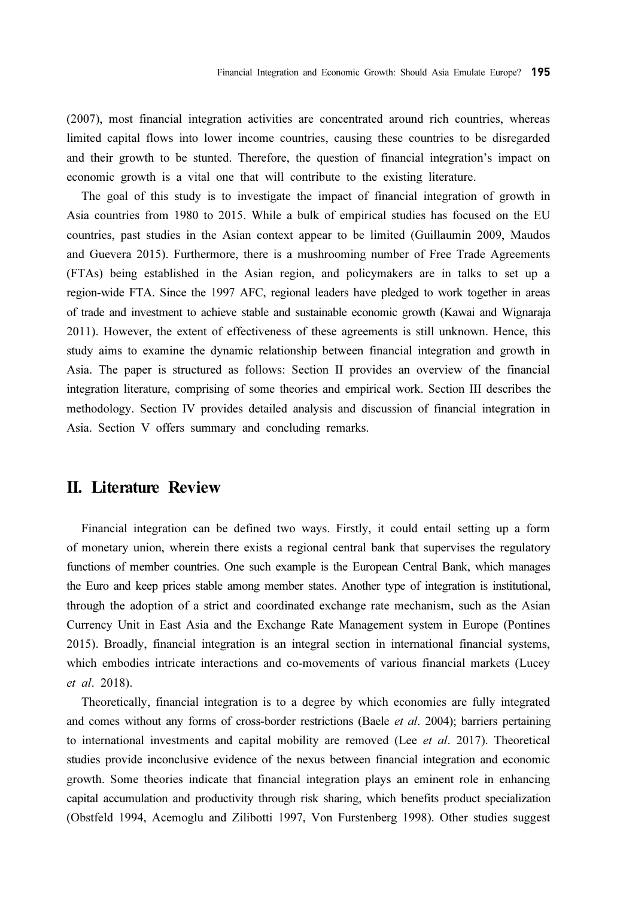(2007), most financial integration activities are concentrated around rich countries, whereas limited capital flows into lower income countries, causing these countries to be disregarded and their growth to be stunted. Therefore, the question of financial integration's impact on economic growth is a vital one that will contribute to the existing literature.

The goal of this study is to investigate the impact of financial integration of growth in Asia countries from 1980 to 2015. While a bulk of empirical studies has focused on the EU countries, past studies in the Asian context appear to be limited (Guillaumin 2009, Maudos and Guevera 2015). Furthermore, there is a mushrooming number of Free Trade Agreements (FTAs) being established in the Asian region, and policymakers are in talks to set up a region-wide FTA. Since the 1997 AFC, regional leaders have pledged to work together in areas of trade and investment to achieve stable and sustainable economic growth (Kawai and Wignaraja 2011). However, the extent of effectiveness of these agreements is still unknown. Hence, this study aims to examine the dynamic relationship between financial integration and growth in Asia. The paper is structured as follows: Section II provides an overview of the financial integration literature, comprising of some theories and empirical work. Section III describes the methodology. Section IV provides detailed analysis and discussion of financial integration in Asia. Section V offers summary and concluding remarks.

#### II. Literature Review

Financial integration can be defined two ways. Firstly, it could entail setting up a form of monetary union, wherein there exists a regional central bank that supervises the regulatory functions of member countries. One such example is the European Central Bank, which manages the Euro and keep prices stable among member states. Another type of integration is institutional, through the adoption of a strict and coordinated exchange rate mechanism, such as the Asian Currency Unit in East Asia and the Exchange Rate Management system in Europe (Pontines 2015). Broadly, financial integration is an integral section in international financial systems, which embodies intricate interactions and co-movements of various financial markets (Lucey et al. 2018).

Theoretically, financial integration is to a degree by which economies are fully integrated and comes without any forms of cross-border restrictions (Baele et al. 2004); barriers pertaining to international investments and capital mobility are removed (Lee  $et$  al. 2017). Theoretical studies provide inconclusive evidence of the nexus between financial integration and economic growth. Some theories indicate that financial integration plays an eminent role in enhancing capital accumulation and productivity through risk sharing, which benefits product specialization (Obstfeld 1994, Acemoglu and Zilibotti 1997, Von Furstenberg 1998). Other studies suggest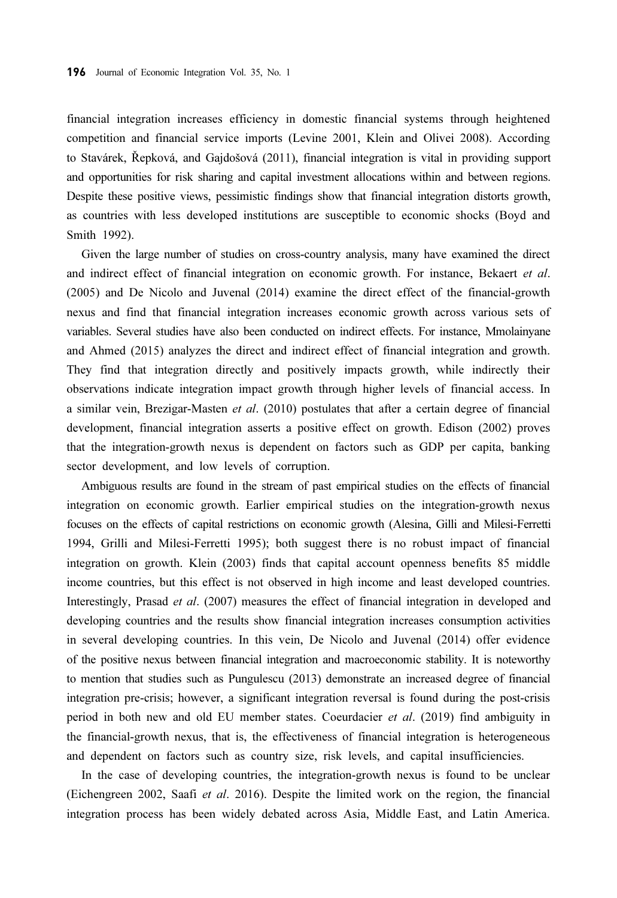financial integration increases efficiency in domestic financial systems through heightened competition and financial service imports (Levine 2001, Klein and Olivei 2008). According to Stavárek, Řepková, and Gajdošová (2011), financial integration is vital in providing support and opportunities for risk sharing and capital investment allocations within and between regions. Despite these positive views, pessimistic findings show that financial integration distorts growth, as countries with less developed institutions are susceptible to economic shocks (Boyd and Smith 1992).

Given the large number of studies on cross-country analysis, many have examined the direct and indirect effect of financial integration on economic growth. For instance, Bekaert et al. (2005) and De Nicolo and Juvenal (2014) examine the direct effect of the financial-growth nexus and find that financial integration increases economic growth across various sets of variables. Several studies have also been conducted on indirect effects. For instance, Mmolainyane and Ahmed (2015) analyzes the direct and indirect effect of financial integration and growth. They find that integration directly and positively impacts growth, while indirectly their observations indicate integration impact growth through higher levels of financial access. In a similar vein, Brezigar-Masten et al. (2010) postulates that after a certain degree of financial development, financial integration asserts a positive effect on growth. Edison (2002) proves that the integration-growth nexus is dependent on factors such as GDP per capita, banking sector development, and low levels of corruption.

Ambiguous results are found in the stream of past empirical studies on the effects of financial integration on economic growth. Earlier empirical studies on the integration-growth nexus focuses on the effects of capital restrictions on economic growth (Alesina, Gilli and Milesi-Ferretti 1994, Grilli and Milesi-Ferretti 1995); both suggest there is no robust impact of financial integration on growth. Klein (2003) finds that capital account openness benefits 85 middle income countries, but this effect is not observed in high income and least developed countries. Interestingly, Prasad et al. (2007) measures the effect of financial integration in developed and developing countries and the results show financial integration increases consumption activities in several developing countries. In this vein, De Nicolo and Juvenal (2014) offer evidence of the positive nexus between financial integration and macroeconomic stability. It is noteworthy to mention that studies such as Pungulescu (2013) demonstrate an increased degree of financial integration pre-crisis; however, a significant integration reversal is found during the post-crisis period in both new and old EU member states. Coeurdacier et al. (2019) find ambiguity in the financial-growth nexus, that is, the effectiveness of financial integration is heterogeneous and dependent on factors such as country size, risk levels, and capital insufficiencies.

In the case of developing countries, the integration-growth nexus is found to be unclear (Eichengreen 2002, Saafi et al. 2016). Despite the limited work on the region, the financial integration process has been widely debated across Asia, Middle East, and Latin America.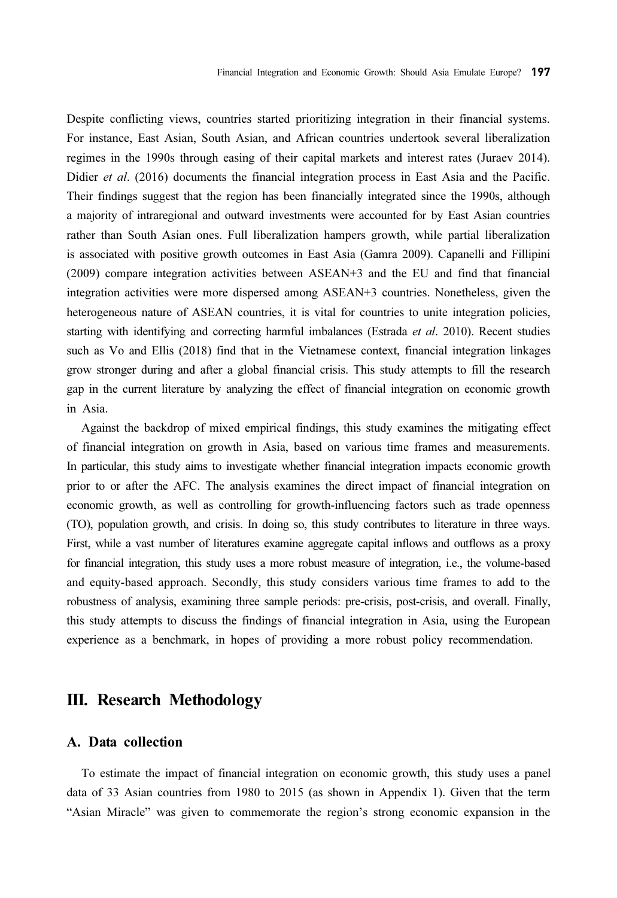Despite conflicting views, countries started prioritizing integration in their financial systems. For instance, East Asian, South Asian, and African countries undertook several liberalization regimes in the 1990s through easing of their capital markets and interest rates (Juraev 2014). Didier et al. (2016) documents the financial integration process in East Asia and the Pacific. Their findings suggest that the region has been financially integrated since the 1990s, although a majority of intraregional and outward investments were accounted for by East Asian countries rather than South Asian ones. Full liberalization hampers growth, while partial liberalization is associated with positive growth outcomes in East Asia (Gamra 2009). Capanelli and Fillipini (2009) compare integration activities between ASEAN+3 and the EU and find that financial integration activities were more dispersed among ASEAN+3 countries. Nonetheless, given the heterogeneous nature of ASEAN countries, it is vital for countries to unite integration policies, starting with identifying and correcting harmful imbalances (Estrada *et al.* 2010). Recent studies such as Vo and Ellis (2018) find that in the Vietnamese context, financial integration linkages grow stronger during and after a global financial crisis. This study attempts to fill the research gap in the current literature by analyzing the effect of financial integration on economic growth in Asia.

Against the backdrop of mixed empirical findings, this study examines the mitigating effect of financial integration on growth in Asia, based on various time frames and measurements. In particular, this study aims to investigate whether financial integration impacts economic growth prior to or after the AFC. The analysis examines the direct impact of financial integration on economic growth, as well as controlling for growth-influencing factors such as trade openness (TO), population growth, and crisis. In doing so, this study contributes to literature in three ways. First, while a vast number of literatures examine aggregate capital inflows and outflows as a proxy for financial integration, this study uses a more robust measure of integration, i.e., the volume-based and equity-based approach. Secondly, this study considers various time frames to add to the robustness of analysis, examining three sample periods: pre-crisis, post-crisis, and overall. Finally, this study attempts to discuss the findings of financial integration in Asia, using the European experience as a benchmark, in hopes of providing a more robust policy recommendation.

### III. Research Methodology

#### A. Data collection

To estimate the impact of financial integration on economic growth, this study uses a panel data of 33 Asian countries from 1980 to 2015 (as shown in Appendix 1). Given that the term "Asian Miracle" was given to commemorate the region's strong economic expansion in the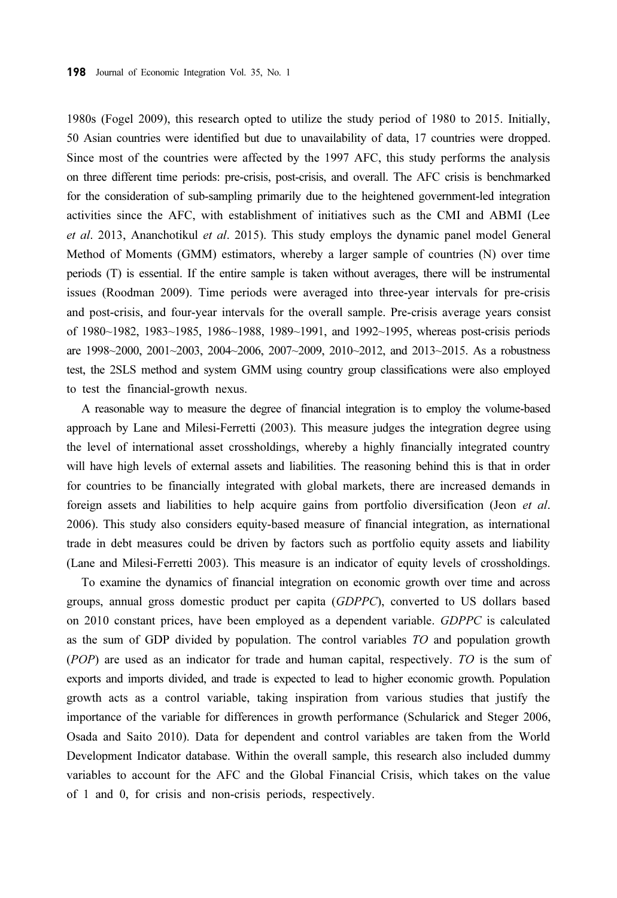1980s (Fogel 2009), this research opted to utilize the study period of 1980 to 2015. Initially, 50 Asian countries were identified but due to unavailability of data, 17 countries were dropped. Since most of the countries were affected by the 1997 AFC, this study performs the analysis on three different time periods: pre-crisis, post-crisis, and overall. The AFC crisis is benchmarked for the consideration of sub-sampling primarily due to the heightened government-led integration activities since the AFC, with establishment of initiatives such as the CMI and ABMI (Lee et al. 2013, Ananchotikul et al. 2015). This study employs the dynamic panel model General Method of Moments (GMM) estimators, whereby a larger sample of countries (N) over time periods (T) is essential. If the entire sample is taken without averages, there will be instrumental issues (Roodman 2009). Time periods were averaged into three-year intervals for pre-crisis and post-crisis, and four-year intervals for the overall sample. Pre-crisis average years consist of 1980~1982, 1983~1985, 1986~1988, 1989~1991, and 1992~1995, whereas post-crisis periods are 1998~2000, 2001~2003, 2004~2006, 2007~2009, 2010~2012, and 2013~2015. As a robustness test, the 2SLS method and system GMM using country group classifications were also employed to test the financial-growth nexus.

A reasonable way to measure the degree of financial integration is to employ the volume-based approach by Lane and Milesi-Ferretti (2003). This measure judges the integration degree using the level of international asset crossholdings, whereby a highly financially integrated country will have high levels of external assets and liabilities. The reasoning behind this is that in order for countries to be financially integrated with global markets, there are increased demands in foreign assets and liabilities to help acquire gains from portfolio diversification (Jeon et al. 2006). This study also considers equity-based measure of financial integration, as international trade in debt measures could be driven by factors such as portfolio equity assets and liability (Lane and Milesi-Ferretti 2003). This measure is an indicator of equity levels of crossholdings.

To examine the dynamics of financial integration on economic growth over time and across groups, annual gross domestic product per capita (GDPPC), converted to US dollars based on 2010 constant prices, have been employed as a dependent variable. GDPPC is calculated as the sum of GDP divided by population. The control variables TO and population growth (POP) are used as an indicator for trade and human capital, respectively. TO is the sum of exports and imports divided, and trade is expected to lead to higher economic growth. Population growth acts as a control variable, taking inspiration from various studies that justify the importance of the variable for differences in growth performance (Schularick and Steger 2006, Osada and Saito 2010). Data for dependent and control variables are taken from the World Development Indicator database. Within the overall sample, this research also included dummy variables to account for the AFC and the Global Financial Crisis, which takes on the value of 1 and 0, for crisis and non-crisis periods, respectively.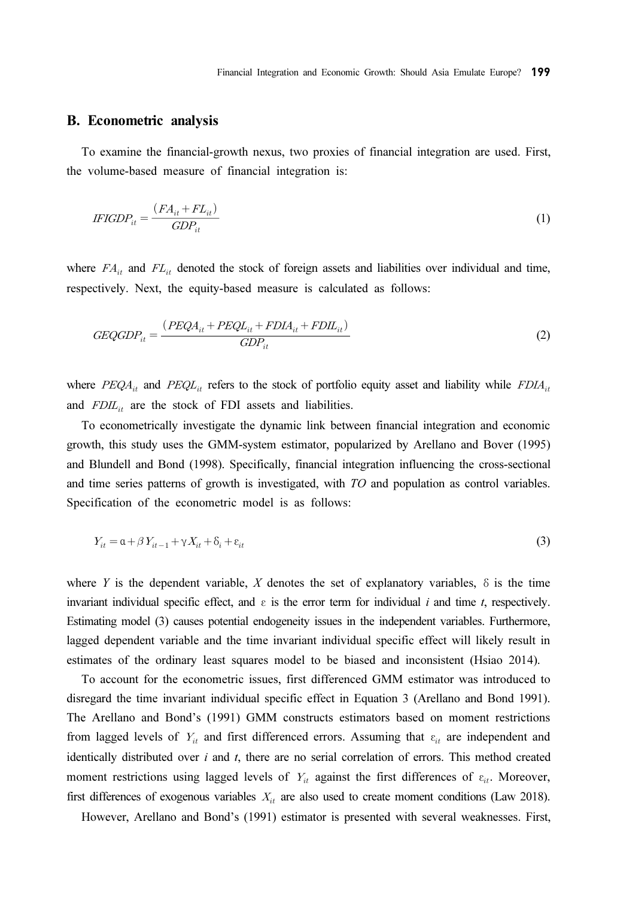#### B. Econometric analysis

To examine the financial-growth nexus, two proxies of financial integration are used. First, the volume-based measure of financial integration is: Econometric analysis<br>
b examine the financial-g<br>
volume-based measure of<br>  $FIGDP_{it} = \frac{(FA_{it} + FL_{it})}{CDP}$ 

$$
IFGDP_{it} = \frac{(FA_{it} + FL_{it})}{GDP_{it}} \tag{1}
$$

where  $FA_{it}$  and  $FL_{it}$  denoted the stock of foreign assets and liabilities over individual and time, respectively. Next, the equity-based measure is calculated as follows:

$$
GEQGDP_{it} = \frac{(PEQA_{it} + PEQL_{it} + FDL_{it} + FDL_{it})}{GDP_{it}}
$$
\n
$$
(2)
$$

where  $PEQA_{it}$  and  $PEQL_{it}$  refers to the stock of portfolio equity asset and liability while  $FDIA_{it}$ and  $F D I I_{it}$  are the stock of FDI assets and liabilities.

To econometrically investigate the dynamic link between financial integration and economic growth, this study uses the GMM-system estimator, popularized by Arellano and Bover (1995) and Blundell and Bond (1998). Specifically, financial integration influencing the cross-sectional and time series patterns of growth is investigated, with TO and population as control variables. Specification of the econometric model is as follows:

$$
Y_{it} = \alpha + \beta Y_{it-1} + \gamma X_{it} + \delta_i + \varepsilon_{it}
$$
\n<sup>(3)</sup>

where Y is the dependent variable, X denotes the set of explanatory variables,  $\delta$  is the time invariant individual specific effect, and  $\varepsilon$  is the error term for individual i and time t, respectively. Estimating model (3) causes potential endogeneity issues in the independent variables. Furthermore, lagged dependent variable and the time invariant individual specific effect will likely result in estimates of the ordinary least squares model to be biased and inconsistent (Hsiao 2014).

To account for the econometric issues, first differenced GMM estimator was introduced to disregard the time invariant individual specific effect in Equation 3 (Arellano and Bond 1991). The Arellano and Bond's (1991) GMM constructs estimators based on moment restrictions from lagged levels of  $Y_{it}$  and first differenced errors. Assuming that  $\varepsilon_{it}$  are independent and identically distributed over  $i$  and  $t$ , there are no serial correlation of errors. This method created moment restrictions using lagged levels of  $Y_{it}$  against the first differences of  $\varepsilon_{it}$ . Moreover, first differences of exogenous variables  $X_{it}$  are also used to create moment conditions (Law 2018).

However, Arellano and Bond's (1991) estimator is presented with several weaknesses. First,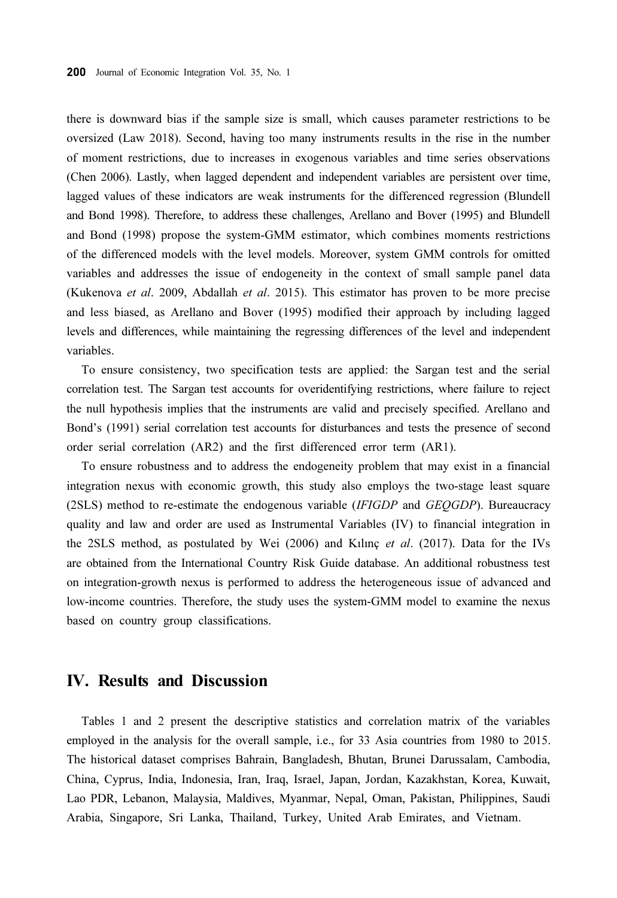there is downward bias if the sample size is small, which causes parameter restrictions to be oversized (Law 2018). Second, having too many instruments results in the rise in the number of moment restrictions, due to increases in exogenous variables and time series observations (Chen 2006). Lastly, when lagged dependent and independent variables are persistent over time, lagged values of these indicators are weak instruments for the differenced regression (Blundell and Bond 1998). Therefore, to address these challenges, Arellano and Bover (1995) and Blundell and Bond (1998) propose the system-GMM estimator, which combines moments restrictions of the differenced models with the level models. Moreover, system GMM controls for omitted variables and addresses the issue of endogeneity in the context of small sample panel data (Kukenova et al. 2009, Abdallah et al. 2015). This estimator has proven to be more precise and less biased, as Arellano and Bover (1995) modified their approach by including lagged levels and differences, while maintaining the regressing differences of the level and independent variables.

To ensure consistency, two specification tests are applied: the Sargan test and the serial correlation test. The Sargan test accounts for overidentifying restrictions, where failure to reject the null hypothesis implies that the instruments are valid and precisely specified. Arellano and Bond's (1991) serial correlation test accounts for disturbances and tests the presence of second order serial correlation (AR2) and the first differenced error term (AR1).

To ensure robustness and to address the endogeneity problem that may exist in a financial integration nexus with economic growth, this study also employs the two-stage least square (2SLS) method to re-estimate the endogenous variable (IFIGDP and GEQGDP). Bureaucracy quality and law and order are used as Instrumental Variables (IV) to financial integration in the 2SLS method, as postulated by Wei (2006) and Kılınç et al. (2017). Data for the IVs are obtained from the International Country Risk Guide database. An additional robustness test on integration-growth nexus is performed to address the heterogeneous issue of advanced and low-income countries. Therefore, the study uses the system-GMM model to examine the nexus based on country group classifications.

### IV. Results and Discussion

Tables 1 and 2 present the descriptive statistics and correlation matrix of the variables employed in the analysis for the overall sample, i.e., for 33 Asia countries from 1980 to 2015. The historical dataset comprises Bahrain, Bangladesh, Bhutan, Brunei Darussalam, Cambodia, China, Cyprus, India, Indonesia, Iran, Iraq, Israel, Japan, Jordan, Kazakhstan, Korea, Kuwait, Lao PDR, Lebanon, Malaysia, Maldives, Myanmar, Nepal, Oman, Pakistan, Philippines, Saudi Arabia, Singapore, Sri Lanka, Thailand, Turkey, United Arab Emirates, and Vietnam.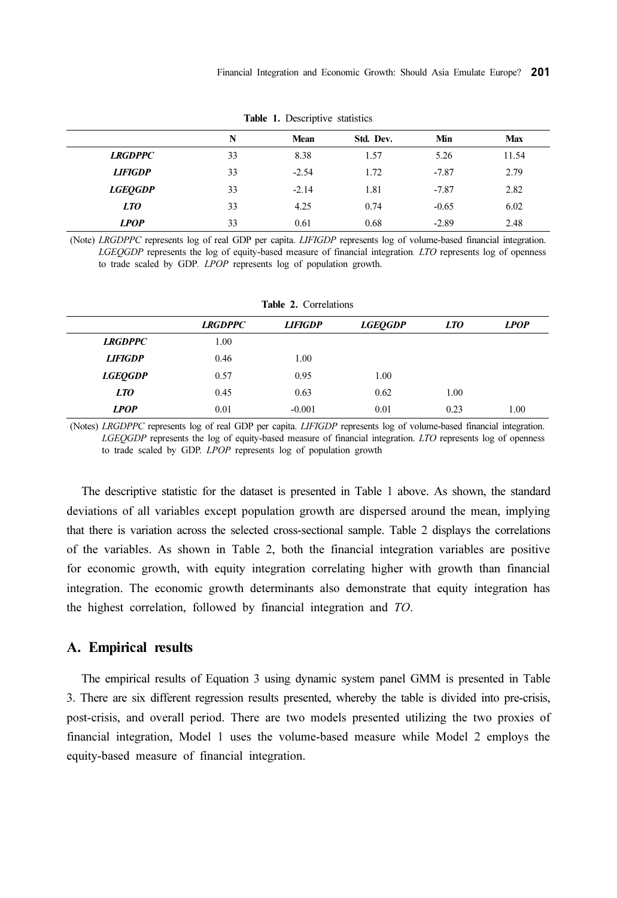|                | N  | Mean    | Std. Dev. | Min     | <b>Max</b> |
|----------------|----|---------|-----------|---------|------------|
| <b>LRGDPPC</b> | 33 | 8.38    | 1.57      | 5.26    | 11.54      |
| <b>LIFIGDP</b> | 33 | $-2.54$ | 1.72      | $-7.87$ | 2.79       |
| <b>LGEOGDP</b> | 33 | $-2.14$ | 1.81      | $-7.87$ | 2.82       |
| <i>LTO</i>     | 33 | 4.25    | 0.74      | $-0.65$ | 6.02       |
| <b>LPOP</b>    | 33 | 0.61    | 0.68      | $-2.89$ | 2.48       |

Table 1. Descriptive statistics

(Note) LRGDPPC represents log of real GDP per capita. LIFIGDP represents log of volume-based financial integration. LGEQGDP represents the log of equity-based measure of financial integration. LTO represents log of openness to trade scaled by GDP. LPOP represents log of population growth.

| <b>Table 2.</b> Correlations |                |                |                |            |             |  |
|------------------------------|----------------|----------------|----------------|------------|-------------|--|
|                              | <b>LRGDPPC</b> | <b>LIFIGDP</b> | <b>LGEOGDP</b> | <i>LTO</i> | <b>LPOP</b> |  |
| <b>LRGDPPC</b>               | 1.00           |                |                |            |             |  |
| <b>LIFIGDP</b>               | 0.46           | 1.00           |                |            |             |  |
| <b>LGEOGDP</b>               | 0.57           | 0.95           | 1.00           |            |             |  |
| <i>LTO</i>                   | 0.45           | 0.63           | 0.62           | 1.00       |             |  |
| <b>LPOP</b>                  | 0.01           | $-0.001$       | 0.01           | 0.23       | 1.00        |  |

Table 2. Correlations

(Notes) LRGDPPC represents log of real GDP per capita. LIFIGDP represents log of volume-based financial integration. LGEQGDP represents the log of equity-based measure of financial integration. LTO represents log of openness to trade scaled by GDP. LPOP represents log of population growth

The descriptive statistic for the dataset is presented in Table 1 above. As shown, the standard deviations of all variables except population growth are dispersed around the mean, implying that there is variation across the selected cross-sectional sample. Table 2 displays the correlations of the variables. As shown in Table 2, both the financial integration variables are positive for economic growth, with equity integration correlating higher with growth than financial integration. The economic growth determinants also demonstrate that equity integration has the highest correlation, followed by financial integration and TO.

#### A. Empirical results

The empirical results of Equation 3 using dynamic system panel GMM is presented in Table 3. There are six different regression results presented, whereby the table is divided into pre-crisis, post-crisis, and overall period. There are two models presented utilizing the two proxies of financial integration, Model 1 uses the volume-based measure while Model 2 employs the equity-based measure of financial integration.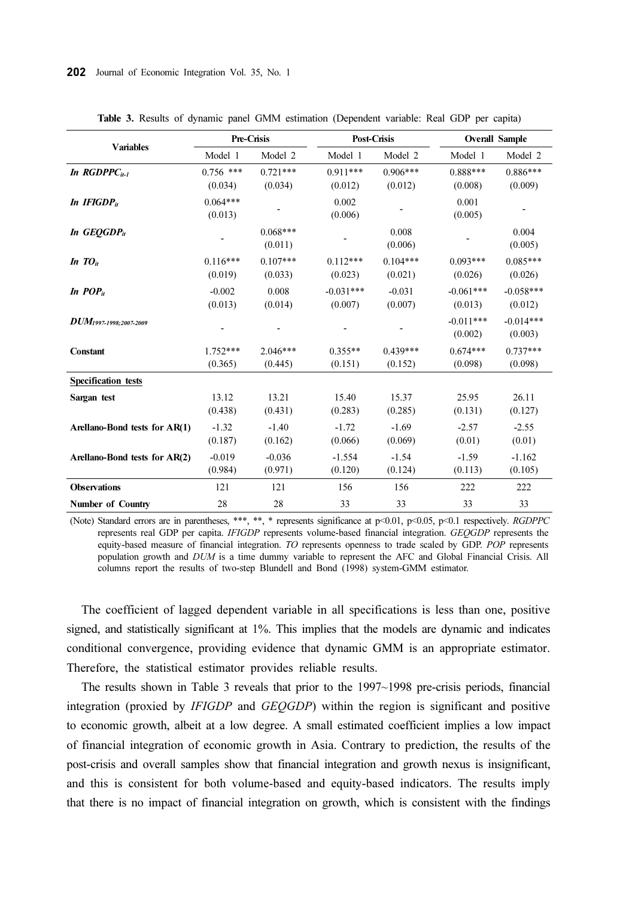|                               | Pre-Crisis             |                       | <b>Post-Crisis</b>     |                       | <b>Overall Sample</b>  |                        |
|-------------------------------|------------------------|-----------------------|------------------------|-----------------------|------------------------|------------------------|
| <b>Variables</b>              | Model 1                | Model 2               | Model 1                | Model 2               | Model 1                | Model 2                |
| In $RGDPPC_{it-1}$            | $0.756$ ***<br>(0.034) | $0.721***$<br>(0.034) | $0.911***$<br>(0.012)  | $0.906***$<br>(0.012) | $0.888***$<br>(0.008)  | $0.886***$<br>(0.009)  |
| In $IFIGDP_{it}$              | $0.064***$<br>(0.013)  |                       | 0.002<br>(0.006)       |                       | 0.001<br>(0.005)       |                        |
| In GEOGDP <sub>it</sub>       |                        | $0.068***$<br>(0.011) |                        | 0.008<br>(0.006)      |                        | 0.004<br>(0.005)       |
| In $TO_{it}$                  | $0.116***$<br>(0.019)  | $0.107***$<br>(0.033) | $0.112***$<br>(0.023)  | $0.104***$<br>(0.021) | $0.093***$<br>(0.026)  | $0.085***$<br>(0.026)  |
| In $POP_{it}$                 | $-0.002$<br>(0.013)    | 0.008<br>(0.014)      | $-0.031***$<br>(0.007) | $-0.031$<br>(0.007)   | $-0.061***$<br>(0.013) | $-0.058***$<br>(0.012) |
| $DUM_{1997-1998;2007-2009}$   |                        |                       |                        |                       | $-0.011***$<br>(0.002) | $-0.014***$<br>(0.003) |
| Constant                      | $1.752***$<br>(0.365)  | $2.046***$<br>(0.445) | $0.355**$<br>(0.151)   | $0.439***$<br>(0.152) | $0.674***$<br>(0.098)  | $0.737***$<br>(0.098)  |
| <b>Specification</b> tests    |                        |                       |                        |                       |                        |                        |
| Sargan test                   | 13.12<br>(0.438)       | 13.21<br>(0.431)      | 15.40<br>(0.283)       | 15.37<br>(0.285)      | 25.95<br>(0.131)       | 26.11<br>(0.127)       |
| Arellano-Bond tests for AR(1) | $-1.32$<br>(0.187)     | $-1.40$<br>(0.162)    | $-1.72$<br>(0.066)     | $-1.69$<br>(0.069)    | $-2.57$<br>(0.01)      | $-2.55$<br>(0.01)      |
| Arellano-Bond tests for AR(2) | $-0.019$<br>(0.984)    | $-0.036$<br>(0.971)   | $-1.554$<br>(0.120)    | $-1.54$<br>(0.124)    | $-1.59$<br>(0.113)     | $-1.162$<br>(0.105)    |
| <b>Observations</b>           | 121                    | 121                   | 156                    | 156                   | 222                    | 222                    |
| <b>Number of Country</b>      | 28                     | 28                    | 33                     | 33                    | 33                     | 33                     |

Table 3. Results of dynamic panel GMM estimation (Dependent variable: Real GDP per capita)

(Note) Standard errors are in parentheses, \*\*\*, \*\*, \* represents significance at p<0.01, p<0.05, p<0.1 respectively. RGDPPC represents real GDP per capita. IFIGDP represents volume-based financial integration. GEQGDP represents the equity-based measure of financial integration. TO represents openness to trade scaled by GDP. POP represents population growth and DUM is a time dummy variable to represent the AFC and Global Financial Crisis. All columns report the results of two-step Blundell and Bond (1998) system-GMM estimator.

The coefficient of lagged dependent variable in all specifications is less than one, positive signed, and statistically significant at 1%. This implies that the models are dynamic and indicates conditional convergence, providing evidence that dynamic GMM is an appropriate estimator. Therefore, the statistical estimator provides reliable results.

The results shown in Table 3 reveals that prior to the 1997~1998 pre-crisis periods, financial integration (proxied by IFIGDP and GEQGDP) within the region is significant and positive to economic growth, albeit at a low degree. A small estimated coefficient implies a low impact of financial integration of economic growth in Asia. Contrary to prediction, the results of the post-crisis and overall samples show that financial integration and growth nexus is insignificant, and this is consistent for both volume-based and equity-based indicators. The results imply that there is no impact of financial integration on growth, which is consistent with the findings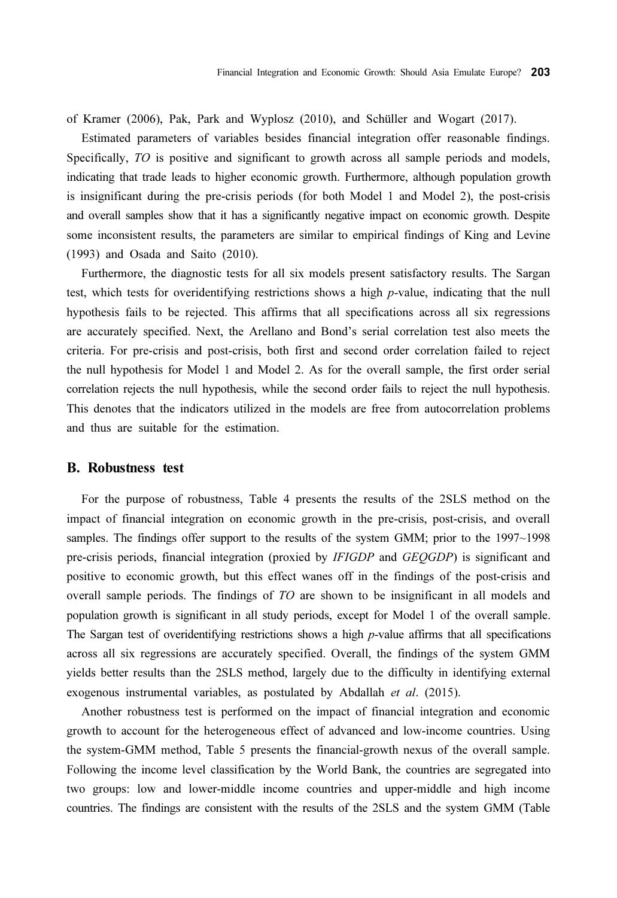of Kramer (2006), Pak, Park and Wyplosz (2010), and Schüller and Wogart (2017).

Estimated parameters of variables besides financial integration offer reasonable findings. Specifically, TO is positive and significant to growth across all sample periods and models, indicating that trade leads to higher economic growth. Furthermore, although population growth is insignificant during the pre-crisis periods (for both Model 1 and Model 2), the post-crisis and overall samples show that it has a significantly negative impact on economic growth. Despite some inconsistent results, the parameters are similar to empirical findings of King and Levine (1993) and Osada and Saito (2010).

Furthermore, the diagnostic tests for all six models present satisfactory results. The Sargan test, which tests for overidentifying restrictions shows a high p-value, indicating that the null hypothesis fails to be rejected. This affirms that all specifications across all six regressions are accurately specified. Next, the Arellano and Bond's serial correlation test also meets the criteria. For pre-crisis and post-crisis, both first and second order correlation failed to reject the null hypothesis for Model 1 and Model 2. As for the overall sample, the first order serial correlation rejects the null hypothesis, while the second order fails to reject the null hypothesis. This denotes that the indicators utilized in the models are free from autocorrelation problems and thus are suitable for the estimation.

#### B. Robustness test

For the purpose of robustness, Table 4 presents the results of the 2SLS method on the impact of financial integration on economic growth in the pre-crisis, post-crisis, and overall samples. The findings offer support to the results of the system GMM; prior to the 1997~1998 pre-crisis periods, financial integration (proxied by IFIGDP and GEQGDP) is significant and positive to economic growth, but this effect wanes off in the findings of the post-crisis and overall sample periods. The findings of TO are shown to be insignificant in all models and population growth is significant in all study periods, except for Model 1 of the overall sample. The Sargan test of overidentifying restrictions shows a high  $p$ -value affirms that all specifications across all six regressions are accurately specified. Overall, the findings of the system GMM yields better results than the 2SLS method, largely due to the difficulty in identifying external exogenous instrumental variables, as postulated by Abdallah et al. (2015).

Another robustness test is performed on the impact of financial integration and economic growth to account for the heterogeneous effect of advanced and low-income countries. Using the system-GMM method, Table 5 presents the financial-growth nexus of the overall sample. Following the income level classification by the World Bank, the countries are segregated into two groups: low and lower-middle income countries and upper-middle and high income countries. The findings are consistent with the results of the 2SLS and the system GMM (Table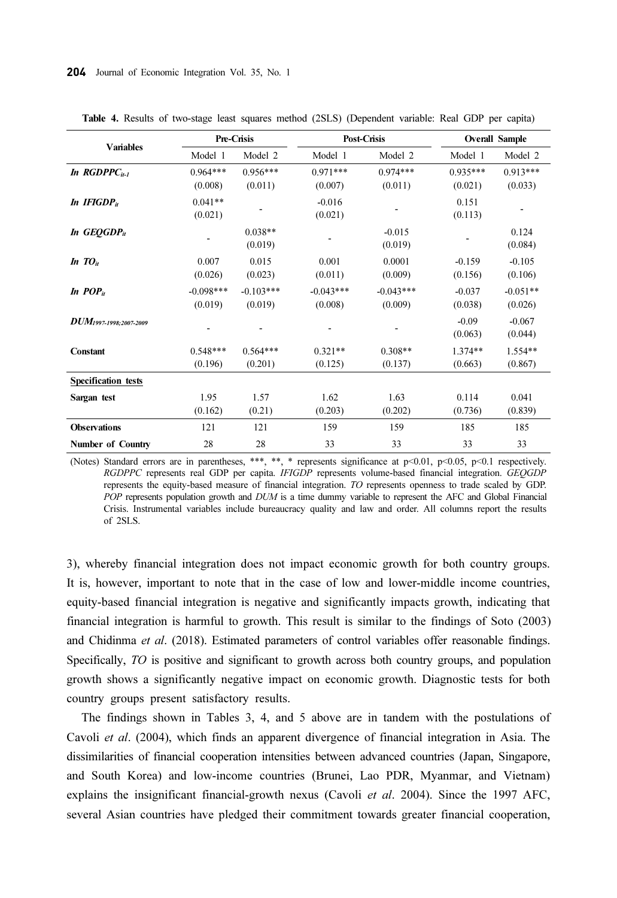|                             |                        | Pre-Crisis             |                        | Post-Crisis            |                       | <b>Overall Sample</b> |  |
|-----------------------------|------------------------|------------------------|------------------------|------------------------|-----------------------|-----------------------|--|
| <b>Variables</b>            | Model 1                | Model 2                | Model 1                | Model 2                | Model 1               | Model 2               |  |
| In $RGDPPC_{it-1}$          | $0.964***$<br>(0.008)  | $0.956***$<br>(0.011)  | $0.971***$<br>(0.007)  | $0.974***$<br>(0.011)  | $0.935***$<br>(0.021) | $0.913***$<br>(0.033) |  |
| In IFIGDP <sub>it</sub>     | $0.041**$<br>(0.021)   |                        | $-0.016$<br>(0.021)    |                        | 0.151<br>(0.113)      |                       |  |
| In $GEOGDP_{it}$            |                        | $0.038**$<br>(0.019)   |                        | $-0.015$<br>(0.019)    |                       | 0.124<br>(0.084)      |  |
| In $TO_{it}$                | 0.007<br>(0.026)       | 0.015<br>(0.023)       | 0.001<br>(0.011)       | 0.0001<br>(0.009)      | $-0.159$<br>(0.156)   | $-0.105$<br>(0.106)   |  |
| In $POP_{it}$               | $-0.098***$<br>(0.019) | $-0.103***$<br>(0.019) | $-0.043***$<br>(0.008) | $-0.043***$<br>(0.009) | $-0.037$<br>(0.038)   | $-0.051**$<br>(0.026) |  |
| $DUM_{1997-1998;2007-2009}$ |                        |                        |                        |                        | $-0.09$<br>(0.063)    | $-0.067$<br>(0.044)   |  |
| <b>Constant</b>             | $0.548***$<br>(0.196)  | $0.564***$<br>(0.201)  | $0.321**$<br>(0.125)   | $0.308**$<br>(0.137)   | $1.374**$<br>(0.663)  | $1.554**$<br>(0.867)  |  |
| <b>Specification tests</b>  |                        |                        |                        |                        |                       |                       |  |
| Sargan test                 | 1.95<br>(0.162)        | 1.57<br>(0.21)         | 1.62<br>(0.203)        | 1.63<br>(0.202)        | 0.114<br>(0.736)      | 0.041<br>(0.839)      |  |
| <b>Observations</b>         | 121                    | 121                    | 159                    | 159                    | 185                   | 185                   |  |
| Number of Country           | 28                     | 28                     | 33                     | 33                     | 33                    | 33                    |  |

Table 4. Results of two-stage least squares method (2SLS) (Dependent variable: Real GDP per capita)

(Notes) Standard errors are in parentheses, \*\*\*, \*\*, \* represents significance at  $p<0.01$ ,  $p<0.05$ ,  $p<0.1$  respectively. RGDPPC represents real GDP per capita. IFIGDP represents volume-based financial integration. GEQGDP represents the equity-based measure of financial integration. TO represents openness to trade scaled by GDP. POP represents population growth and DUM is a time dummy variable to represent the AFC and Global Financial Crisis. Instrumental variables include bureaucracy quality and law and order. All columns report the results of 2SLS.

3), whereby financial integration does not impact economic growth for both country groups. It is, however, important to note that in the case of low and lower-middle income countries, equity-based financial integration is negative and significantly impacts growth, indicating that financial integration is harmful to growth. This result is similar to the findings of Soto (2003) and Chidinma et al. (2018). Estimated parameters of control variables offer reasonable findings. Specifically, TO is positive and significant to growth across both country groups, and population growth shows a significantly negative impact on economic growth. Diagnostic tests for both country groups present satisfactory results.

The findings shown in Tables 3, 4, and 5 above are in tandem with the postulations of Cavoli et al. (2004), which finds an apparent divergence of financial integration in Asia. The dissimilarities of financial cooperation intensities between advanced countries (Japan, Singapore, and South Korea) and low-income countries (Brunei, Lao PDR, Myanmar, and Vietnam) explains the insignificant financial-growth nexus (Cavoli et al. 2004). Since the 1997 AFC, several Asian countries have pledged their commitment towards greater financial cooperation,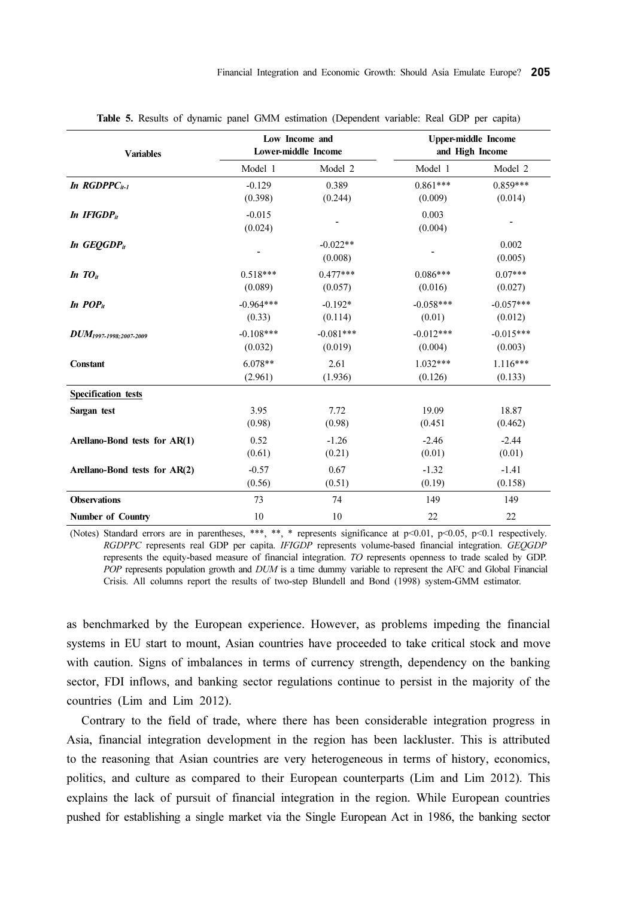| <b>Variables</b>              |                     | Low Income and<br>Lower-middle Income | <b>Upper-middle Income</b><br>and High Income |                  |
|-------------------------------|---------------------|---------------------------------------|-----------------------------------------------|------------------|
|                               | Model 1             | Model 2                               | Model 1                                       | Model 2          |
| In $RGDPPC_{it-1}$            | $-0.129$            | 0.389                                 | $0.861***$                                    | $0.859***$       |
|                               | (0.398)             | (0.244)                               | (0.009)                                       | (0.014)          |
| In $IFIGDPit$                 | $-0.015$<br>(0.024) |                                       | 0.003<br>(0.004)                              |                  |
| In GEOGDP <sub>it</sub>       |                     | $-0.022**$<br>(0.008)                 |                                               | 0.002<br>(0.005) |
| In $TO_{it}$                  | $0.518***$          | $0.477***$                            | $0.086***$                                    | $0.07***$        |
|                               | (0.089)             | (0.057)                               | (0.016)                                       | (0.027)          |
| In $POP_{it}$                 | $-0.964***$         | $-0.192*$                             | $-0.058***$                                   | $-0.057***$      |
|                               | (0.33)              | (0.114)                               | (0.01)                                        | (0.012)          |
| $DUM_{1997-1998:2007-2009}$   | $-0.108***$         | $-0.081***$                           | $-0.012***$                                   | $-0.015***$      |
|                               | (0.032)             | (0.019)                               | (0.004)                                       | (0.003)          |
| <b>Constant</b>               | $6.078**$           | 2.61                                  | $1.032***$                                    | $1.116***$       |
|                               | (2.961)             | (1.936)                               | (0.126)                                       | (0.133)          |
| <b>Specification</b> tests    |                     |                                       |                                               |                  |
| Sargan test                   | 3.95                | 7.72                                  | 19.09                                         | 18.87            |
|                               | (0.98)              | (0.98)                                | (0.451)                                       | (0.462)          |
| Arellano-Bond tests for AR(1) | 0.52                | $-1.26$                               | $-2.46$                                       | $-2.44$          |
|                               | (0.61)              | (0.21)                                | (0.01)                                        | (0.01)           |
| Arellano-Bond tests for AR(2) | $-0.57$             | 0.67                                  | $-1.32$                                       | $-1.41$          |
|                               | (0.56)              | (0.51)                                | (0.19)                                        | (0.158)          |
| <b>Observations</b>           | 73                  | 74                                    | 149                                           | 149              |
| <b>Number of Country</b>      | 10                  | 10                                    | 22                                            | 22               |

Table 5. Results of dynamic panel GMM estimation (Dependent variable: Real GDP per capita)

(Notes) Standard errors are in parentheses, \*\*\*, \*\*, \* represents significance at p<0.01, p<0.05, p<0.1 respectively. RGDPPC represents real GDP per capita. IFIGDP represents volume-based financial integration. GEQGDP represents the equity-based measure of financial integration. TO represents openness to trade scaled by GDP. POP represents population growth and DUM is a time dummy variable to represent the AFC and Global Financial Crisis. All columns report the results of two-step Blundell and Bond (1998) system-GMM estimator.

as benchmarked by the European experience. However, as problems impeding the financial systems in EU start to mount, Asian countries have proceeded to take critical stock and move with caution. Signs of imbalances in terms of currency strength, dependency on the banking sector, FDI inflows, and banking sector regulations continue to persist in the majority of the countries (Lim and Lim 2012).

Contrary to the field of trade, where there has been considerable integration progress in Asia, financial integration development in the region has been lackluster. This is attributed to the reasoning that Asian countries are very heterogeneous in terms of history, economics, politics, and culture as compared to their European counterparts (Lim and Lim 2012). This explains the lack of pursuit of financial integration in the region. While European countries pushed for establishing a single market via the Single European Act in 1986, the banking sector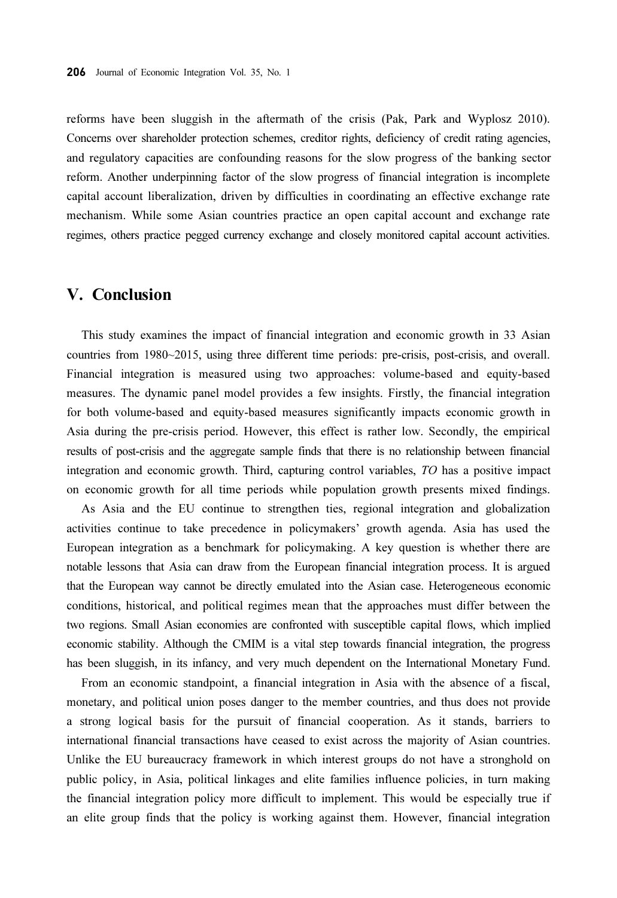reforms have been sluggish in the aftermath of the crisis (Pak, Park and Wyplosz 2010). Concerns over shareholder protection schemes, creditor rights, deficiency of credit rating agencies, and regulatory capacities are confounding reasons for the slow progress of the banking sector reform. Another underpinning factor of the slow progress of financial integration is incomplete capital account liberalization, driven by difficulties in coordinating an effective exchange rate mechanism. While some Asian countries practice an open capital account and exchange rate regimes, others practice pegged currency exchange and closely monitored capital account activities.

#### V. Conclusion

This study examines the impact of financial integration and economic growth in 33 Asian countries from 1980~2015, using three different time periods: pre-crisis, post-crisis, and overall. Financial integration is measured using two approaches: volume-based and equity-based measures. The dynamic panel model provides a few insights. Firstly, the financial integration for both volume-based and equity-based measures significantly impacts economic growth in Asia during the pre-crisis period. However, this effect is rather low. Secondly, the empirical results of post-crisis and the aggregate sample finds that there is no relationship between financial integration and economic growth. Third, capturing control variables, TO has a positive impact on economic growth for all time periods while population growth presents mixed findings.

As Asia and the EU continue to strengthen ties, regional integration and globalization activities continue to take precedence in policymakers' growth agenda. Asia has used the European integration as a benchmark for policymaking. A key question is whether there are notable lessons that Asia can draw from the European financial integration process. It is argued that the European way cannot be directly emulated into the Asian case. Heterogeneous economic conditions, historical, and political regimes mean that the approaches must differ between the two regions. Small Asian economies are confronted with susceptible capital flows, which implied economic stability. Although the CMIM is a vital step towards financial integration, the progress has been sluggish, in its infancy, and very much dependent on the International Monetary Fund.

From an economic standpoint, a financial integration in Asia with the absence of a fiscal, monetary, and political union poses danger to the member countries, and thus does not provide a strong logical basis for the pursuit of financial cooperation. As it stands, barriers to international financial transactions have ceased to exist across the majority of Asian countries. Unlike the EU bureaucracy framework in which interest groups do not have a stronghold on public policy, in Asia, political linkages and elite families influence policies, in turn making the financial integration policy more difficult to implement. This would be especially true if an elite group finds that the policy is working against them. However, financial integration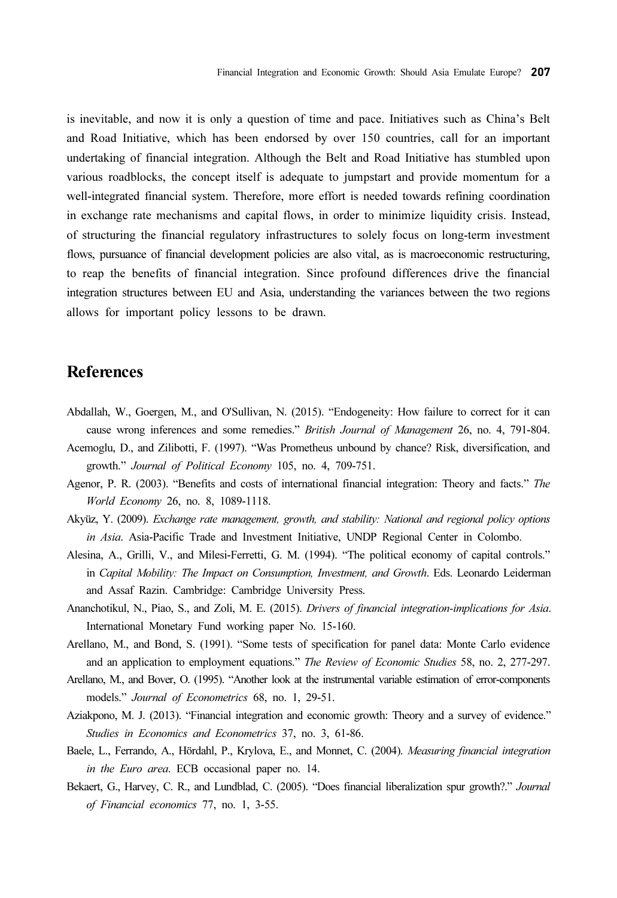is inevitable, and now it is only a question of time and pace. Initiatives such as China's Belt and Road Initiative, which has been endorsed by over 150 countries, call for an important undertaking of financial integration. Although the Belt and Road Initiative has stumbled upon various roadblocks, the concept itself is adequate to jumpstart and provide momentum for a well-integrated financial system. Therefore, more effort is needed towards refining coordination in exchange rate mechanisms and capital flows, in order to minimize liquidity crisis. Instead, of structuring the financial regulatory infrastructures to solely focus on long-term investment flows, pursuance of financial development policies are also vital, as is macroeconomic restructuring, to reap the benefits of financial integration. Since profound differences drive the financial integration structures between EU and Asia, understanding the variances between the two regions allows for important policy lessons to be drawn.

## References

- Abdallah, W., Goergen, M., and O'Sullivan, N. (2015). "Endogeneity: How failure to correct for it can cause wrong inferences and some remedies." British Journal of Management 26, no. 4, 791-804.
- Acemoglu, D., and Zilibotti, F. (1997). "Was Prometheus unbound by chance? Risk, diversification, and growth." Journal of Political Economy 105, no. 4, 709-751.
- Agenor, P. R. (2003). "Benefits and costs of international financial integration: Theory and facts." The World Economy 26, no. 8, 1089-1118.
- Akyüz, Y. (2009). Exchange rate management, growth, and stability: National and regional policy options in Asia. Asia-Pacific Trade and Investment Initiative, UNDP Regional Center in Colombo.
- Alesina, A., Grilli, V., and Milesi-Ferretti, G. M. (1994). "The political economy of capital controls." in Capital Mobility: The Impact on Consumption, Investment, and Growth. Eds. Leonardo Leiderman and Assaf Razin. Cambridge: Cambridge University Press.
- Ananchotikul, N., Piao, S., and Zoli, M. E. (2015). Drivers of financial integration-implications for Asia. International Monetary Fund working paper No. 15-160.
- Arellano, M., and Bond, S. (1991). "Some tests of specification for panel data: Monte Carlo evidence and an application to employment equations." The Review of Economic Studies 58, no. 2, 277-297.
- Arellano, M., and Bover, O. (1995). "Another look at the instrumental variable estimation of error-components models." Journal of Econometrics 68, no. 1, 29-51.
- Aziakpono, M. J. (2013). "Financial integration and economic growth: Theory and a survey of evidence." Studies in Economics and Econometrics 37, no. 3, 61-86.
- Baele, L., Ferrando, A., Hördahl, P., Krylova, E., and Monnet, C. (2004). Measuring financial integration in the Euro area. ECB occasional paper no. 14.
- Bekaert, G., Harvey, C. R., and Lundblad, C. (2005). "Does financial liberalization spur growth?." Journal of Financial economics 77, no. 1, 3-55.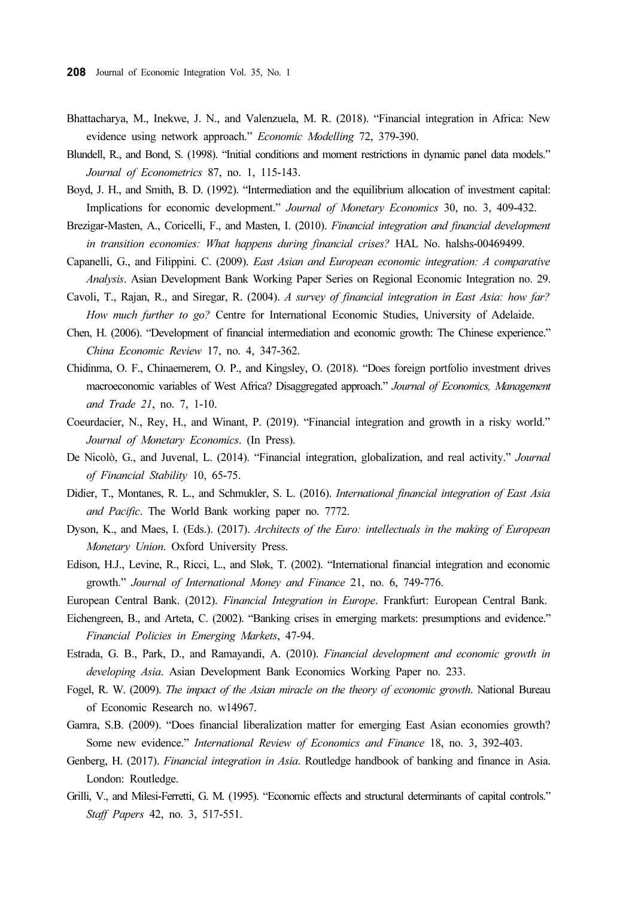- Bhattacharya, M., Inekwe, J. N., and Valenzuela, M. R. (2018). "Financial integration in Africa: New evidence using network approach." Economic Modelling 72, 379-390.
- Blundell, R., and Bond, S. (1998). "Initial conditions and moment restrictions in dynamic panel data models." Journal of Econometrics 87, no. 1, 115-143.
- Boyd, J. H., and Smith, B. D. (1992). "Intermediation and the equilibrium allocation of investment capital: Implications for economic development." Journal of Monetary Economics 30, no. 3, 409-432.
- Brezigar-Masten, A., Coricelli, F., and Masten, I. (2010). Financial integration and financial development in transition economies: What happens during financial crises? HAL No. halshs-00469499.
- Capanelli, G., and Filippini. C. (2009). East Asian and European economic integration: A comparative Analysis. Asian Development Bank Working Paper Series on Regional Economic Integration no. 29.
- Cavoli, T., Rajan, R., and Siregar, R. (2004). A survey of financial integration in East Asia: how far? How much further to go? Centre for International Economic Studies, University of Adelaide.
- Chen, H. (2006). "Development of financial intermediation and economic growth: The Chinese experience." China Economic Review 17, no. 4, 347-362.
- Chidinma, O. F., Chinaemerem, O. P., and Kingsley, O. (2018). "Does foreign portfolio investment drives macroeconomic variables of West Africa? Disaggregated approach." Journal of Economics, Management and Trade 21, no. 7, 1-10.
- Coeurdacier, N., Rey, H., and Winant, P. (2019). "Financial integration and growth in a risky world." Journal of Monetary Economics. (In Press).
- De Nicolò, G., and Juvenal, L. (2014). "Financial integration, globalization, and real activity." Journal of Financial Stability 10, 65-75.
- Didier, T., Montanes, R. L., and Schmukler, S. L. (2016). International financial integration of East Asia and Pacific. The World Bank working paper no. 7772.
- Dyson, K., and Maes, I. (Eds.). (2017). Architects of the Euro: intellectuals in the making of European Monetary Union. Oxford University Press.
- Edison, H.J., Levine, R., Ricci, L., and Sløk, T. (2002). "International financial integration and economic growth." Journal of International Money and Finance 21, no. 6, 749-776.
- European Central Bank. (2012). Financial Integration in Europe. Frankfurt: European Central Bank.
- Eichengreen, B., and Arteta, C. (2002). "Banking crises in emerging markets: presumptions and evidence." Financial Policies in Emerging Markets, 47-94.
- Estrada, G. B., Park, D., and Ramayandi, A. (2010). Financial development and economic growth in developing Asia. Asian Development Bank Economics Working Paper no. 233.
- Fogel, R. W. (2009). The impact of the Asian miracle on the theory of economic growth. National Bureau of Economic Research no. w14967.
- Gamra, S.B. (2009). "Does financial liberalization matter for emerging East Asian economies growth? Some new evidence." International Review of Economics and Finance 18, no. 3, 392-403.
- Genberg, H. (2017). Financial integration in Asia. Routledge handbook of banking and finance in Asia. London: Routledge.
- Grilli, V., and Milesi-Ferretti, G. M. (1995). "Economic effects and structural determinants of capital controls." Staff Papers 42, no. 3, 517-551.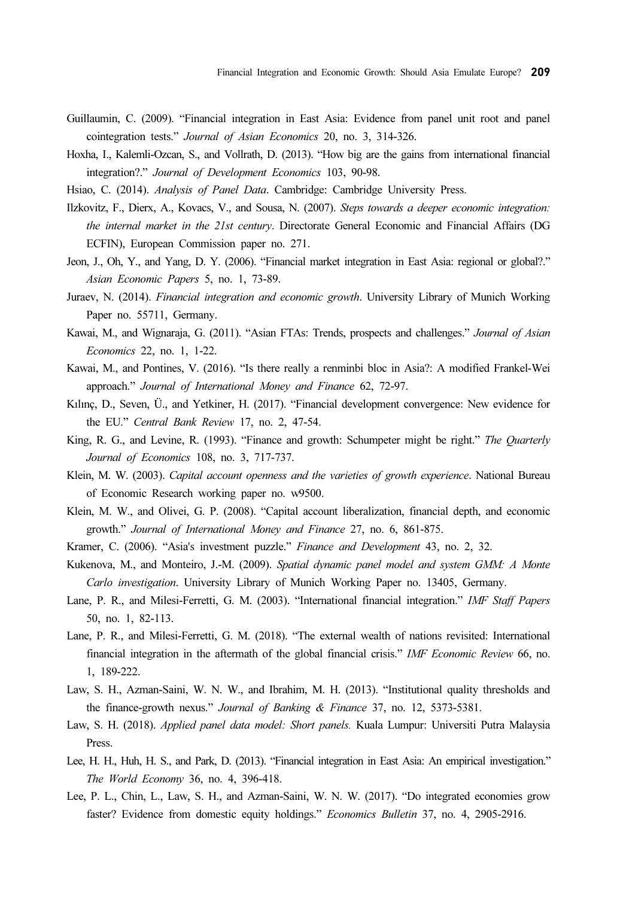- Guillaumin, C. (2009). "Financial integration in East Asia: Evidence from panel unit root and panel cointegration tests." Journal of Asian Economics 20, no. 3, 314-326.
- Hoxha, I., Kalemli-Ozcan, S., and Vollrath, D. (2013). "How big are the gains from international financial integration?." Journal of Development Economics 103, 90-98.
- Hsiao, C. (2014). Analysis of Panel Data. Cambridge: Cambridge University Press.
- Ilzkovitz, F., Dierx, A., Kovacs, V., and Sousa, N. (2007). Steps towards a deeper economic integration: the internal market in the 21st century. Directorate General Economic and Financial Affairs (DG ECFIN), European Commission paper no. 271.
- Jeon, J., Oh, Y., and Yang, D. Y. (2006). "Financial market integration in East Asia: regional or global?." Asian Economic Papers 5, no. 1, 73-89.
- Juraev, N. (2014). Financial integration and economic growth. University Library of Munich Working Paper no. 55711, Germany.
- Kawai, M., and Wignaraja, G. (2011). "Asian FTAs: Trends, prospects and challenges." Journal of Asian Economics 22, no. 1, 1-22.
- Kawai, M., and Pontines, V. (2016). "Is there really a renminbi bloc in Asia?: A modified Frankel-Wei approach." Journal of International Money and Finance 62, 72-97.
- Kılınç, D., Seven, Ü., and Yetkiner, H. (2017). "Financial development convergence: New evidence for the EU." Central Bank Review 17, no. 2, 47-54.
- King, R. G., and Levine, R. (1993). "Finance and growth: Schumpeter might be right." The Quarterly Journal of Economics 108, no. 3, 717-737.
- Klein, M. W. (2003). Capital account openness and the varieties of growth experience. National Bureau of Economic Research working paper no. w9500.
- Klein, M. W., and Olivei, G. P. (2008). "Capital account liberalization, financial depth, and economic growth." Journal of International Money and Finance 27, no. 6, 861-875.
- Kramer, C. (2006). "Asia's investment puzzle." Finance and Development 43, no. 2, 32.
- Kukenova, M., and Monteiro, J.-M. (2009). Spatial dynamic panel model and system GMM: A Monte Carlo investigation. University Library of Munich Working Paper no. 13405, Germany.
- Lane, P. R., and Milesi-Ferretti, G. M. (2003). "International financial integration." IMF Staff Papers 50, no. 1, 82-113.
- Lane, P. R., and Milesi-Ferretti, G. M. (2018). "The external wealth of nations revisited: International financial integration in the aftermath of the global financial crisis." IMF Economic Review 66, no. 1, 189-222.
- Law, S. H., Azman-Saini, W. N. W., and Ibrahim, M. H. (2013). "Institutional quality thresholds and the finance-growth nexus." Journal of Banking & Finance 37, no. 12, 5373-5381.
- Law, S. H. (2018). Applied panel data model: Short panels. Kuala Lumpur: Universiti Putra Malaysia Press.
- Lee, H. H., Huh, H. S., and Park, D. (2013). "Financial integration in East Asia: An empirical investigation." The World Economy 36, no. 4, 396-418.
- Lee, P. L., Chin, L., Law, S. H., and Azman-Saini, W. N. W. (2017). "Do integrated economies grow faster? Evidence from domestic equity holdings." Economics Bulletin 37, no. 4, 2905-2916.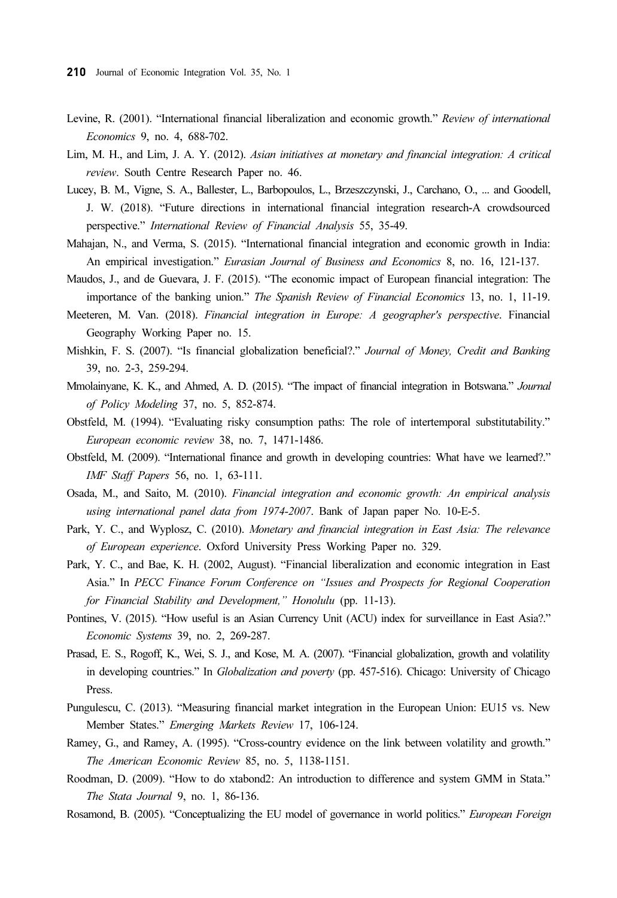- Levine, R. (2001). "International financial liberalization and economic growth." Review of international Economics 9, no. 4, 688-702.
- Lim, M. H., and Lim, J. A. Y. (2012). Asian initiatives at monetary and financial integration: A critical review. South Centre Research Paper no. 46.
- Lucey, B. M., Vigne, S. A., Ballester, L., Barbopoulos, L., Brzeszczynski, J., Carchano, O., ... and Goodell, J. W. (2018). "Future directions in international financial integration research-A crowdsourced perspective." International Review of Financial Analysis 55, 35-49.
- Mahajan, N., and Verma, S. (2015). "International financial integration and economic growth in India: An empirical investigation." Eurasian Journal of Business and Economics 8, no. 16, 121-137.
- Maudos, J., and de Guevara, J. F. (2015). "The economic impact of European financial integration: The importance of the banking union." The Spanish Review of Financial Economics 13, no. 1, 11-19.
- Meeteren, M. Van. (2018). Financial integration in Europe: A geographer's perspective. Financial Geography Working Paper no. 15.
- Mishkin, F. S. (2007). "Is financial globalization beneficial?." Journal of Money, Credit and Banking 39, no. 2-3, 259-294.
- Mmolainyane, K. K., and Ahmed, A. D. (2015). "The impact of financial integration in Botswana." Journal of Policy Modeling 37, no. 5, 852-874.
- Obstfeld, M. (1994). "Evaluating risky consumption paths: The role of intertemporal substitutability." European economic review 38, no. 7, 1471-1486.
- Obstfeld, M. (2009). "International finance and growth in developing countries: What have we learned?." IMF Staff Papers 56, no. 1, 63-111.
- Osada, M., and Saito, M. (2010). Financial integration and economic growth: An empirical analysis using international panel data from 1974-2007. Bank of Japan paper No. 10-E-5.
- Park, Y. C., and Wyplosz, C. (2010). Monetary and financial integration in East Asia: The relevance of European experience. Oxford University Press Working Paper no. 329.
- Park, Y. C., and Bae, K. H. (2002, August). "Financial liberalization and economic integration in East Asia." In PECC Finance Forum Conference on "Issues and Prospects for Regional Cooperation for Financial Stability and Development," Honolulu (pp. 11-13).
- Pontines, V. (2015). "How useful is an Asian Currency Unit (ACU) index for surveillance in East Asia?." Economic Systems 39, no. 2, 269-287.
- Prasad, E. S., Rogoff, K., Wei, S. J., and Kose, M. A. (2007). "Financial globalization, growth and volatility in developing countries." In Globalization and poverty (pp. 457-516). Chicago: University of Chicago Press.
- Pungulescu, C. (2013). "Measuring financial market integration in the European Union: EU15 vs. New Member States." Emerging Markets Review 17, 106-124.
- Ramey, G., and Ramey, A. (1995). "Cross-country evidence on the link between volatility and growth." The American Economic Review 85, no. 5, 1138-1151.
- Roodman, D. (2009). "How to do xtabond2: An introduction to difference and system GMM in Stata." The Stata Journal 9, no. 1, 86-136.
- Rosamond, B. (2005). "Conceptualizing the EU model of governance in world politics." European Foreign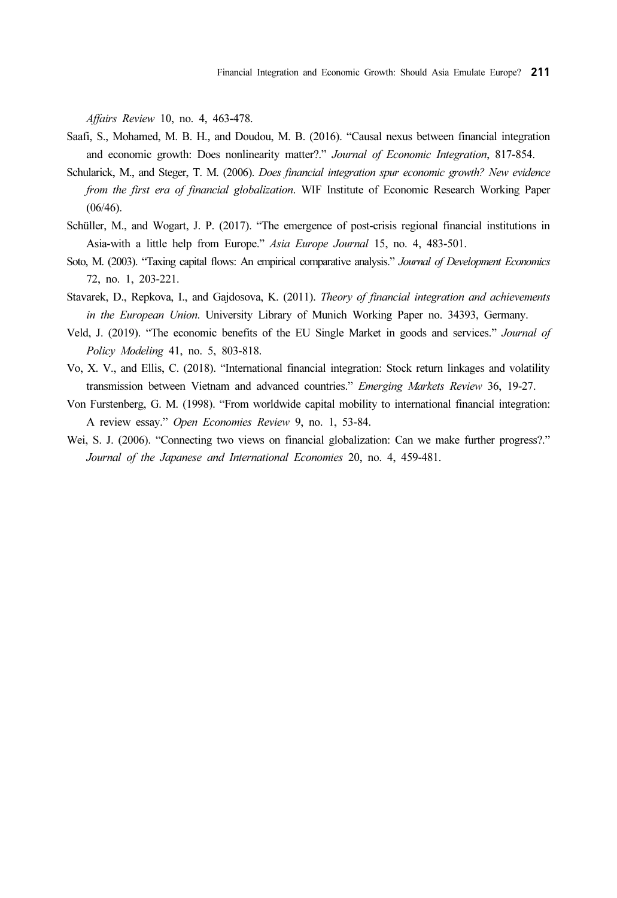Affairs Review 10, no. 4, 463-478.

- Saafi, S., Mohamed, M. B. H., and Doudou, M. B. (2016). "Causal nexus between financial integration and economic growth: Does nonlinearity matter?." Journal of Economic Integration, 817-854.
- Schularick, M., and Steger, T. M. (2006). Does financial integration spur economic growth? New evidence from the first era of financial globalization. WIF Institute of Economic Research Working Paper (06/46).
- Schüller, M., and Wogart, J. P. (2017). "The emergence of post-crisis regional financial institutions in Asia-with a little help from Europe." Asia Europe Journal 15, no. 4, 483-501.
- Soto, M. (2003). "Taxing capital flows: An empirical comparative analysis." Journal of Development Economics 72, no. 1, 203-221.
- Stavarek, D., Repkova, I., and Gajdosova, K. (2011). Theory of financial integration and achievements in the European Union. University Library of Munich Working Paper no. 34393, Germany.
- Veld, J. (2019). "The economic benefits of the EU Single Market in goods and services." Journal of Policy Modeling 41, no. 5, 803-818.
- Vo, X. V., and Ellis, C. (2018). "International financial integration: Stock return linkages and volatility transmission between Vietnam and advanced countries." Emerging Markets Review 36, 19-27.
- Von Furstenberg, G. M. (1998). "From worldwide capital mobility to international financial integration: A review essay." Open Economies Review 9, no. 1, 53-84.
- Wei, S. J. (2006). "Connecting two views on financial globalization: Can we make further progress?." Journal of the Japanese and International Economies 20, no. 4, 459-481.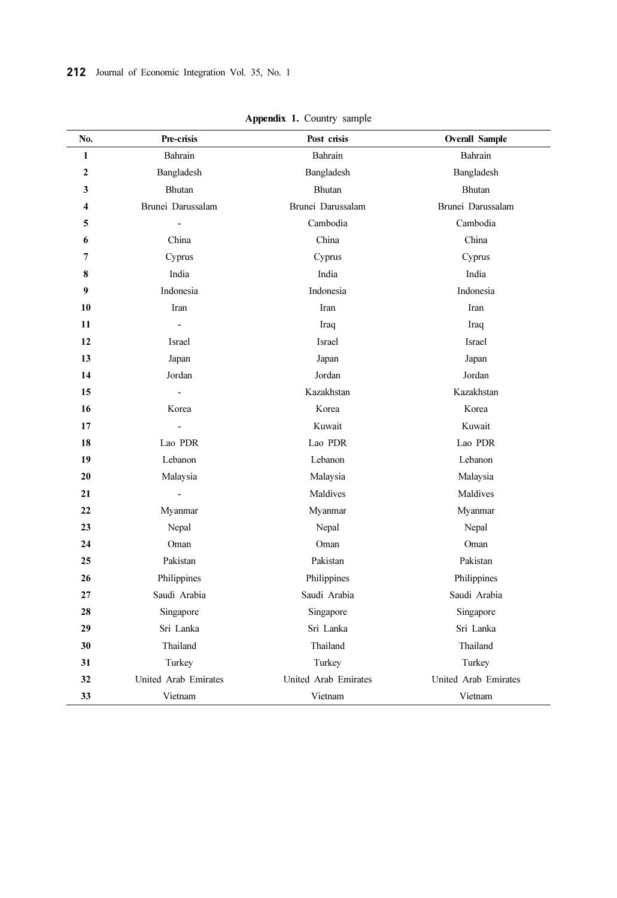| No.              | Pre-crisis           | Post crisis          | <b>Overall Sample</b> |
|------------------|----------------------|----------------------|-----------------------|
| 1                | Bahrain              | Bahrain              | Bahrain               |
| $\boldsymbol{2}$ | Bangladesh           | Bangladesh           | Bangladesh            |
| 3                | Bhutan               | Bhutan               | <b>Bhutan</b>         |
| 4                | Brunei Darussalam    | Brunei Darussalam    | Brunei Darussalam     |
| 5                |                      | Cambodia             | Cambodia              |
| 6                | China                | China                | China                 |
| 7                | Cyprus               | Cyprus               | Cyprus                |
| 8                | India                | India                | India                 |
| 9                | Indonesia            | Indonesia            | Indonesia             |
| 10               | Iran                 | Iran                 | Iran                  |
| 11               |                      | Iraq                 | Iraq                  |
| 12               | Israel               | Israel               | Israel                |
| 13               | Japan                | Japan                | Japan                 |
| 14               | Jordan               | Jordan               | Jordan                |
| 15               |                      | Kazakhstan           | Kazakhstan            |
| 16               | Korea                | Korea                | Korea                 |
| 17               |                      | Kuwait               | Kuwait                |
| 18               | Lao PDR              | Lao PDR              | Lao PDR               |
| 19               | Lebanon              | Lebanon              | Lebanon               |
| 20               | Malaysia             | Malaysia             | Malaysia              |
| 21               | $\overline{a}$       | Maldives             | Maldives              |
| 22               | Myanmar              | Myanmar              | Myanmar               |
| 23               | Nepal                | Nepal                | Nepal                 |
| 24               | Oman                 | Oman                 | Oman                  |
| 25               | Pakistan             | Pakistan             | Pakistan              |
| 26               | Philippines          | Philippines          | Philippines           |
| 27               | Saudi Arabia         | Saudi Arabia         | Saudi Arabia          |
| 28               | Singapore            | Singapore            | Singapore             |
| 29               | Sri Lanka            | Sri Lanka            | Sri Lanka             |
| 30               | Thailand             | Thailand             | Thailand              |
| 31               | Turkey               | Turkey               | Turkey                |
| 32               | United Arab Emirates | United Arab Emirates | United Arab Emirates  |
| 33               | Vietnam              | Vietnam              | Vietnam               |

Appendix 1. Country sample